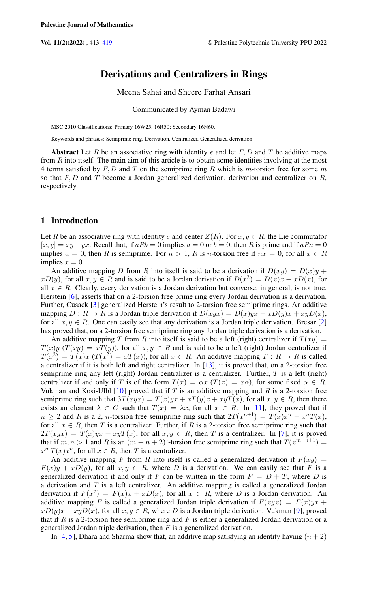# Derivations and Centralizers in Rings

Meena Sahai and Sheere Farhat Ansari

Communicated by Ayman Badawi

MSC 2010 Classifications: Primary 16W25, 16R50; Secondary 16N60.

Keywords and phrases: Semiprime ring, Derivation, Centralizer, Generalized derivation.

Abstract Let R be an associative ring with identity e and let F, D and T be additive maps from R into itself. The main aim of this article is to obtain some identities involving at the most 4 terms satisfied by  $F, D$  and  $T$  on the semiprime ring R which is m-torsion free for some m so that  $F, D$  and  $T$  become a Jordan generalized derivation, derivation and centralizer on  $R$ , respectively.

#### 1 Introduction

Let R be an associative ring with identity e and center  $Z(R)$ . For  $x, y \in R$ , the Lie commutator  $[x, y] = xy - yx$ . Recall that, if  $aRb = 0$  implies  $a = 0$  or  $b = 0$ , then R is prime and if  $aRa = 0$ implies  $a = 0$ , then R is semiprime. For  $n > 1$ , R is n-torsion free if  $nx = 0$ , for all  $x \in R$ implies  $x = 0$ .

An additive mapping D from R into itself is said to be a derivation if  $D(xy) = D(x)y + D(y)y$  $xD(y)$ , for all  $x, y \in R$  and is said to be a Jordan derivation if  $D(x^2) = D(x)x + xD(x)$ , for all  $x \in R$ . Clearly, every derivation is a Jordan derivation but converse, in general, is not true. Herstein [\[6\]](#page-6-0), asserts that on a 2-torsion free prime ring every Jordan derivation is a derivation. Further, Cusack [\[3\]](#page-6-1) generalized Herstein's result to 2-torsion free semiprime rings. An additive mapping  $D: R \to R$  is a Jordan triple derivation if  $D(xyx) = D(x)yx + xD(y)x + xyD(x)$ , for all  $x, y \in R$ . One can easily see that any derivation is a Jordan triple derivation. Bresar [\[2\]](#page-5-1) has proved that, on a 2-torsion free semiprime ring any Jordan triple derivation is a derivation.

An additive mapping T from R into itself is said to be a left (right) centralizer if  $T(xy) =$  $T(x)y$  ( $T(xy) = xT(y)$ ), for all  $x, y \in R$  and is said to be a left (right) Jordan centralizer if  $T(x^2) = T(x)x$   $(T(x^2) = xT(x))$ , for all  $x \in R$ . An additive mapping  $T: R \to R$  is called a centralizer if it is both left and right centralizer. In [\[13\]](#page-6-2), it is proved that, on a 2-torsion free semiprime ring any left (right) Jordan centralizer is a centralizer. Further, T is a left (right) centralizer if and only if T is of the form  $T(x) = \alpha x$  ( $T(x) = x\alpha$ ), for some fixed  $\alpha \in R$ . Vukman and Kosi-Ulbl  $[10]$  proved that if T is an additive mapping and R is a 2-torsion free semiprime ring such that  $3T(xyx) = T(x)yx + xT(y)x + xyT(x)$ , for all  $x, y \in R$ , then there exists an element  $\lambda \in C$  such that  $T(x) = \lambda x$ , for all  $x \in R$ . In [\[11\]](#page-6-4), they proved that if  $n \ge 2$  and R is a 2, *n*-torsion free semiprime ring such that  $2T(x^{n+1}) = T(x)x^n + x^nT(x)$ , for all  $x \in R$ , then T is a centralizer. Further, if R is a 2-torsion free semiprime ring such that  $2T(xyx) = T(x)yx + xyT(x)$ , for all  $x, y \in R$ , then T is a centralizer. In [\[7\]](#page-6-5), it is proved that if  $m, n > 1$  and R is an  $(m + n + 2)!$ -torsion free semiprime ring such that  $T(x^{m+n+1}) =$  $x^m T(x)x^n$ , for all  $x \in R$ , then T is a centralizer.

An additive mapping F from R into itself is called a generalized derivation if  $F(xy) =$  $F(x)y + xD(y)$ , for all  $x, y \in R$ , where D is a derivation. We can easily see that F is a generalized derivation if and only if F can be written in the form  $F = D + T$ , where D is a derivation and  $T$  is a left centralizer. An additive mapping is called a generalized Jordan derivation if  $F(x^2) = F(x)x + xD(x)$ , for all  $x \in R$ , where D is a Jordan derivation. An additive mapping F is called a generalized Jordan triple derivation if  $F(xyx) = F(x)yx +$  $xD(y)x + xyD(x)$ , for all  $x, y \in R$ , where D is a Jordan triple derivation. Vukman [\[9\]](#page-6-6), proved that if R is a 2-torsion free semiprime ring and F is either a generalized Jordan derivation or a generalized Jordan triple derivation, then  $F$  is a generalized derivation.

In [\[4,](#page-6-7) [5\]](#page-6-8), Dhara and Sharma show that, an additive map satisfying an identity having  $(n + 2)$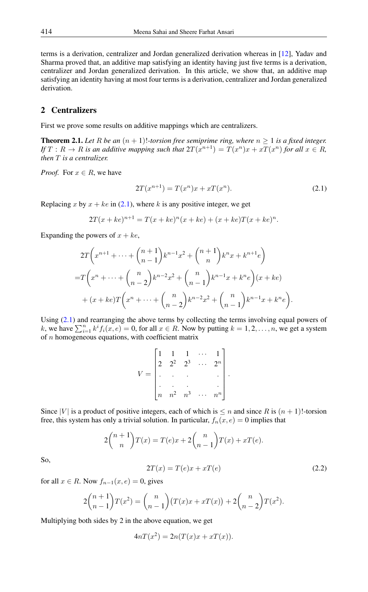terms is a derivation, centralizer and Jordan generalized derivation whereas in [\[12\]](#page-6-9), Yadav and Sharma proved that, an additive map satisfying an identity having just five terms is a derivation, centralizer and Jordan generalized derivation. In this article, we show that, an additive map satisfying an identity having at most four terms is a derivation, centralizer and Jordan generalized derivation.

### 2 Centralizers

First we prove some results on additive mappings which are centralizers.

<span id="page-1-2"></span>**Theorem 2.1.** Let R be an  $(n + 1)!$ -torsion free semiprime ring, where  $n \geq 1$  is a fixed integer. *If*  $T: R \to R$  *is an additive mapping such that*  $2T(x^{n+1}) = T(x^n)x + xT(x^n)$  *for all*  $x \in R$ *, then* T *is a centralizer.*

*Proof.* For  $x \in R$ , we have

<span id="page-1-0"></span>
$$
2T(x^{n+1}) = T(x^n)x + xT(x^n).
$$
 (2.1)

Replacing x by  $x + ke$  in [\(2.1\)](#page-1-0), where k is any positive integer, we get

$$
2T(x + ke)^{n+1} = T(x + ke)^{n}(x + ke) + (x + ke)T(x + ke)^{n}.
$$

Expanding the powers of  $x + ke$ ,

$$
2T\left(x^{n+1} + \dots + {n+1 \choose n-1}k^{n-1}x^2 + {n+1 \choose n}k^nx + k^{n+1}e\right)
$$
  
= $T\left(x^n + \dots + {n \choose n-2}k^{n-2}x^2 + {n \choose n-1}k^{n-1}x + k^ne\right)(x + ke)$   
+ $(x + ke)T\left(x^n + \dots + {n \choose n-2}k^{n-2}x^2 + {n \choose n-1}k^{n-1}x + k^ne\right).$ 

Using  $(2.1)$  and rearranging the above terms by collecting the terms involving equal powers of k, we have  $\sum_{i=1}^{n} k^{i} f_{i}(x, e) = 0$ , for all  $x \in R$ . Now by putting  $k = 1, 2, ..., n$ , we get a system of  $n$  homogeneous equations, with coefficient matrix

| ◠                | 2 <sup>2</sup> | $\frac{1}{2^3}$ | $2^n$ |  |
|------------------|----------------|-----------------|-------|--|
|                  |                | $\mathbb{R}^2$  |       |  |
|                  |                |                 |       |  |
| $\boldsymbol{n}$ | $n^2$          | $n^3$           | $n^n$ |  |

Since |V| is a product of positive integers, each of which is  $\leq n$  and since R is  $(n + 1)!$ -torsion free, this system has only a trivial solution. In particular,  $f_n(x, e) = 0$  implies that

$$
2\binom{n+1}{n}T(x) = T(e)x + 2\binom{n}{n-1}T(x) + xT(e).
$$

<span id="page-1-1"></span>So,

$$
2T(x) = T(e)x + xT(e)
$$
\n(2.2)

for all  $x \in R$ . Now  $f_{n-1}(x, e) = 0$ , gives

$$
2\binom{n+1}{n-1}T(x^2) = \binom{n}{n-1}(T(x)x + xT(x)) + 2\binom{n}{n-2}T(x^2).
$$

Multiplying both sides by 2 in the above equation, we get

 $4nT(x^2) = 2n(T(x)x + xT(x)).$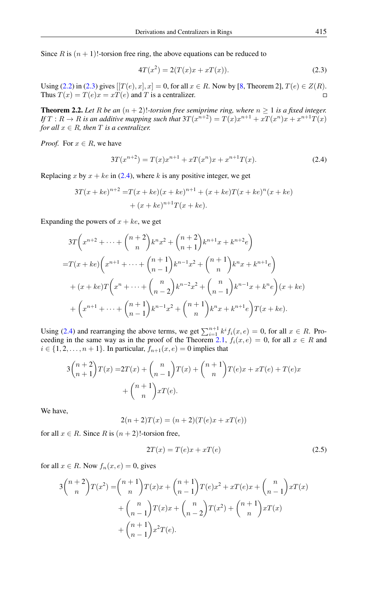Since R is  $(n + 1)!$ -torsion free ring, the above equations can be reduced to

<span id="page-2-0"></span>
$$
4T(x^2) = 2(T(x)x + xT(x)).
$$
\n(2.3)

Using [\(2.2\)](#page-1-1) in [\(2.3\)](#page-2-0) gives  $[T(e), x], x] = 0$ , for all  $x \in R$ . Now by [\[8,](#page-6-10) Theorem 2],  $T(e) \in Z(R)$ . Thus  $T(x) = T(e)x = xT(e)$  and T is a centralizer.  $\Box$ 

**Theorem 2.2.** Let R be an  $(n + 2)!$ -torsion free semiprime ring, where  $n \ge 1$  is a fixed integer. If  $T: R \to R$  is an additive mapping such that  $3T(x^{n+2}) = T(x)x^{n+1} + xT(x^n)x + x^{n+1}T(x)$ *for all*  $x \in R$ *, then*  $T$  *is a centralizer.* 

*Proof.* For  $x \in R$ , we have

<span id="page-2-1"></span>
$$
3T(x^{n+2}) = T(x)x^{n+1} + xT(x^n)x + x^{n+1}T(x).
$$
 (2.4)

Replacing x by  $x + ke$  in [\(2.4\)](#page-2-1), where k is any positive integer, we get

$$
3T(x+ke)^{n+2} = T(x+ke)(x+ke)^{n+1} + (x+ke)T(x+ke)^{n}(x+ke) + (x+ke)^{n+1}T(x+ke).
$$

Expanding the powers of  $x + ke$ , we get

$$
3T\left(x^{n+2} + \dots + {n+2 \choose n}k^n x^2 + {n+2 \choose n+1}k^{n+1}x + k^{n+2}e\right)
$$
  
= $T(x + ke)\left(x^{n+1} + \dots + {n+1 \choose n-1}k^{n-1}x^2 + {n+1 \choose n}k^n x + k^{n+1}e\right)$   
+ $(x + ke)T\left(x^n + \dots + {n \choose n-2}k^{n-2}x^2 + {n \choose n-1}k^{n-1}x + k^n e\right)(x + ke)$   
+ $\left(x^{n+1} + \dots + {n+1 \choose n-1}k^{n-1}x^2 + {n+1 \choose n}k^n x + k^{n+1}e\right)T(x + ke).$ 

Using [\(2.4\)](#page-2-1) and rearranging the above terms, we get  $\sum_{i=1}^{n+1} k^i f_i(x, e) = 0$ , for all  $x \in R$ . Pro-ceeding in the same way as in the proof of the Theorem [2.1,](#page-1-2)  $f_i(x, e) = 0$ , for all  $x \in R$  and  $i \in \{1, 2, \ldots, n+1\}$ . In particular,  $f_{n+1}(x, e) = 0$  implies that

$$
3\binom{n+2}{n+1}T(x) = 2T(x) + \binom{n}{n-1}T(x) + \binom{n+1}{n}T(e)x + xT(e) + T(e)x + \binom{n+1}{n}xT(e).
$$

We have,

$$
2(n+2)T(x) = (n+2)(T(e)x + xT(e))
$$

for all  $x \in R$ . Since R is  $(n + 2)!$ -torsion free,

<span id="page-2-2"></span>
$$
2T(x) = T(e)x + xT(e)
$$
\n
$$
(2.5)
$$

for all  $x \in R$ . Now  $f_n(x, e) = 0$ , gives

$$
3\binom{n+2}{n}T(x^2) = \binom{n+1}{n}T(x)x + \binom{n+1}{n-1}T(e)x^2 + xT(e)x + \binom{n}{n-1}xT(x) + \binom{n}{n-1}T(x)x + \binom{n}{n-2}T(x^2) + \binom{n+1}{n}xT(x) + \binom{n+1}{n-1}x^2T(e).
$$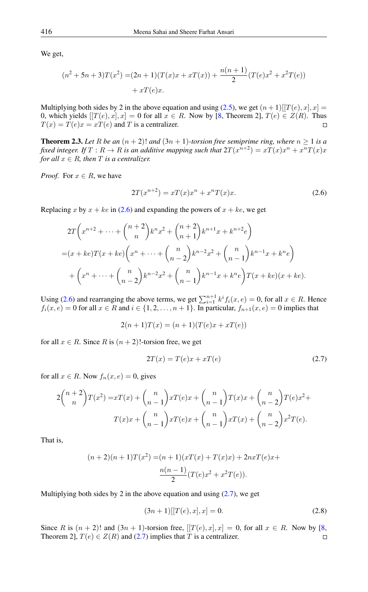We get,

$$
(n^{2} + 5n + 3)T(x^{2}) = (2n + 1)(T(x)x + xT(x)) + \frac{n(n + 1)}{2}(T(e)x^{2} + x^{2}T(e)) + xT(e)x.
$$

Multiplying both sides by 2 in the above equation and using [\(2.5\)](#page-2-2), we get  $(n+1)[T(e),x],x] =$ 0, which yields  $[[T(e), x], x] = 0$  for all  $x \in R$ . Now by [\[8,](#page-6-10) Theorem 2],  $T(e) \in Z(R)$ . Thus  $T(x) = T(e)x = xT(e)$  and T is a centralizer.  $\Box$ 

**Theorem 2.3.** Let R be an  $(n + 2)!$  and  $(3n + 1)$ -torsion free semiprime ring, where  $n \ge 1$  is a fixed integer. If  $T:R\rightarrow R$  is an additive mapping such that  $2T(x^{n+2})=xT(x)x^{n}+x^{n}T(x)x$ *for all*  $x \in R$ *, then*  $T$  *is a centralizer.* 

*Proof.* For  $x \in R$ , we have

<span id="page-3-0"></span>
$$
2T(x^{n+2}) = xT(x)x^n + x^nT(x)x.
$$
 (2.6)

Replacing x by  $x + ke$  in [\(2.6\)](#page-3-0) and expanding the powers of  $x + ke$ , we get

$$
2T\left(x^{n+2} + \dots + \binom{n+2}{n}k^n x^2 + \binom{n+2}{n+1}k^{n+1} x + k^{n+2} e\right)
$$
  
=  $(x + ke)T(x + ke)\left(x^n + \dots + \binom{n}{n-2}k^{n-2}x^2 + \binom{n}{n-1}k^{n-1}x + k^n e\right)$   
+  $\left(x^n + \dots + \binom{n}{n-2}k^{n-2}x^2 + \binom{n}{n-1}k^{n-1}x + k^n e\right)T(x + ke)(x + ke).$ 

Using [\(2.6\)](#page-3-0) and rearranging the above terms, we get  $\sum_{i=1}^{n+1} k^i f_i(x, e) = 0$ , for all  $x \in R$ . Hence  $f_i(x, e) = 0$  for all  $x \in R$  and  $i \in \{1, 2, \ldots, n+1\}$ . In particular,  $f_{n+1}(x, e) = 0$  implies that

$$
2(n + 1)T(x) = (n + 1)(T(e)x + xT(e))
$$

for all  $x \in R$ . Since R is  $(n+2)!$ -torsion free, we get

<span id="page-3-1"></span>
$$
2T(x) = T(e)x + xT(e)
$$
\n
$$
(2.7)
$$

for all  $x \in R$ . Now  $f_n(x, e) = 0$ , gives

$$
2\binom{n+2}{n}T(x^2) = xT(x) + \binom{n}{n-1}xT(e)x + \binom{n}{n-1}T(x)x + \binom{n}{n-2}T(e)x^2 +
$$
  

$$
T(x)x + \binom{n}{n-1}xT(e)x + \binom{n}{n-1}xT(x) + \binom{n}{n-2}x^2T(e).
$$

That is,

$$
(n+2)(n+1)T(x2) = (n+1)(xT(x) + T(x)x) + 2nxT(e)x +
$$

$$
\frac{n(n-1)}{2}(T(e)x2 + x2T(e)).
$$

Multiplying both sides by 2 in the above equation and using  $(2.7)$ , we get

$$
(3n+1)[[T(e),x],x] = 0.
$$
\n(2.8)

Since R is  $(n+2)!$  and  $(3n+1)$ -torsion free,  $[[T(e),x],x] = 0$ , for all  $x \in R$ . Now by [\[8,](#page-6-10) Theorem 2],  $T(e) \in Z(R)$  and [\(2.7\)](#page-3-1) implies that T is a centralizer.  $\Box$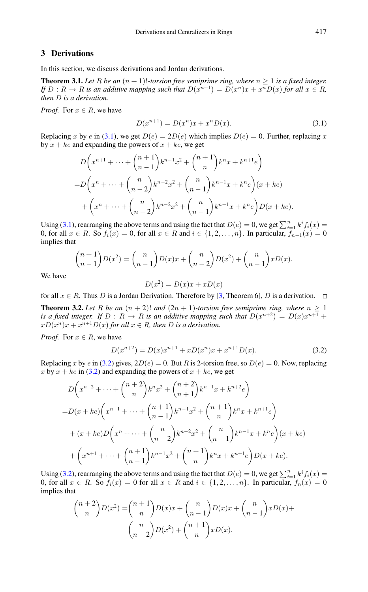### 3 Derivations

In this section, we discuss derivations and Jordan derivations.

**Theorem 3.1.** Let R be an  $(n + 1)!$ -torsion free semiprime ring, where  $n > 1$  is a fixed integer. *If*  $D: R \to R$  *is an additive mapping such that*  $D(x^{n+1}) = D(x^n)x + x^nD(x)$  *for all*  $x \in R$ *, then* D *is a derivation.*

*Proof.* For  $x \in R$ , we have

<span id="page-4-0"></span>
$$
D(x^{n+1}) = D(x^n)x + x^n D(x).
$$
 (3.1)

Replacing x by e in [\(3.1\)](#page-4-0), we get  $D(e) = 2D(e)$  which implies  $D(e) = 0$ . Further, replacing x by  $x + ke$  and expanding the powers of  $x + ke$ , we get

$$
D\left(x^{n+1} + \dots + {n+1 \choose n-1}k^{n-1}x^2 + {n+1 \choose n}k^nx + k^{n+1}e\right)
$$
  
= 
$$
D\left(x^n + \dots + {n \choose n-2}k^{n-2}x^2 + {n \choose n-1}k^{n-1}x + k^ne\right)(x + ke)
$$
  
+ 
$$
\left(x^n + \dots + {n \choose n-2}k^{n-2}x^2 + {n \choose n-1}k^{n-1}x + k^ne\right)D(x + ke).
$$

Using [\(3.1\)](#page-4-0), rearranging the above terms and using the fact that  $D(e) = 0$ , we get  $\sum_{i=1}^{n} k^{i} f_i(x) =$ 0, for all  $x \in R$ . So  $f_i(x) = 0$ , for all  $x \in R$  and  $i \in \{1, 2, ..., n\}$ . In particular,  $f_{n-1}(x) = 0$ implies that

$$
\binom{n+1}{n-1}D(x^2) = \binom{n}{n-1}D(x)x + \binom{n}{n-2}D(x^2) + \binom{n}{n-1}xD(x).
$$

We have

$$
D(x^2) = D(x)x + xD(x)
$$

for all  $x \in R$ . Thus D is a Jordan Derivation. Therefore by [\[3,](#page-6-1) Theorem 6], D is a derivation.  $\Box$ 

**Theorem 3.2.** Let R be an  $(n + 2)!$  and  $(2n + 1)$ -torsion free semiprime ring, where  $n \ge 1$ *is a fixed integer.* If  $D: R \to R$  *is an additive mapping such that*  $D(x^{n+2}) = D(x)x^{n+1} +$  $xD(x^n)x + x^{n+1}D(x)$  for all  $x \in R$ , then D is a derivation.

*Proof.* For  $x \in R$ , we have

<span id="page-4-1"></span>
$$
D(x^{n+2}) = D(x)x^{n+1} + xD(x^n)x + x^{n+1}D(x).
$$
 (3.2)

Replacing x by e in [\(3.2\)](#page-4-1) gives,  $2D(e) = 0$ . But R is 2-torsion free, so  $D(e) = 0$ . Now, replacing x by  $x + ke$  in [\(3.2\)](#page-4-1) and expanding the powers of  $x + ke$ , we get

$$
D\left(x^{n+2} + \dots + {n+2 \choose n}k^n x^2 + {n+2 \choose n+1}k^{n+1}x + k^{n+2}e\right)
$$
  
=  $D(x + ke)\left(x^{n+1} + \dots + {n+1 \choose n-1}k^{n-1}x^2 + {n+1 \choose n}k^nx + k^{n+1}e\right)$   
+  $(x + ke)D\left(x^n + \dots + {n \choose n-2}k^{n-2}x^2 + {n \choose n-1}k^{n-1}x + k^ne\right)(x + ke)$   
+  $\left(x^{n+1} + \dots + {n+1 \choose n-1}k^{n-1}x^2 + {n+1 \choose n}k^nx + k^{n+1}e\right)D(x + ke).$ 

Using [\(3.2\)](#page-4-1), rearranging the above terms and using the fact that  $D(e) = 0$ , we get  $\sum_{i=1}^{n} k^{i} f_i(x) =$ 0, for all  $x \in R$ . So  $f_i(x) = 0$  for all  $x \in R$  and  $i \in \{1, 2, ..., n\}$ . In particular,  $f_n(x) = 0$ implies that

$$
\binom{n+2}{n}D(x^2) = \binom{n+1}{n}D(x)x + \binom{n}{n-1}D(x)x + \binom{n}{n-1}xD(x) + \binom{n}{n-2}D(x^2) + \binom{n+1}{n}xD(x).
$$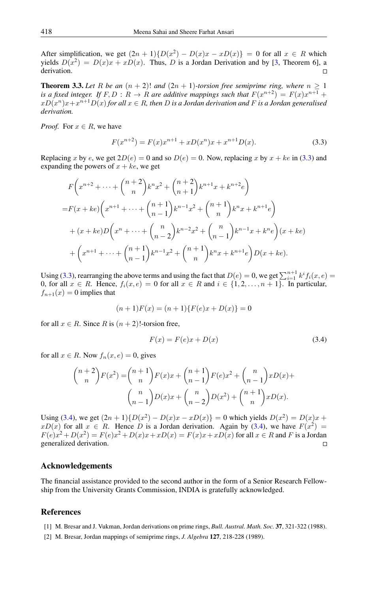After simplification, we get  $(2n + 1) \{ D(x^2) - D(x)x - xD(x) \} = 0$  for all  $x \in R$  which yields  $D(x^2) = D(x)x + xD(x)$ . Thus, D is a Jordan Derivation and by [\[3,](#page-6-1) Theorem 6], a derivation.

**Theorem 3.3.** Let R be an  $(n + 2)!$  and  $(2n + 1)$ -torsion free semiprime ring, where  $n \ge 1$ is a fixed integer. If  $F, D : R \to R$  are additive mappings such that  $F(x^{n+2}) = F(x)x^{n+1} +$  $xD(x^n)x+x^{n+1}D(x)$  for all  $x\in R$ , then  $D$  is a Jordan derivation and  $F$  is a Jordan generalised *derivation.*

*Proof.* For  $x \in R$ , we have

<span id="page-5-2"></span>
$$
F(x^{n+2}) = F(x)x^{n+1} + xD(x^n)x + x^{n+1}D(x).
$$
 (3.3)

Replacing x by e, we get  $2D(e) = 0$  and so  $D(e) = 0$ . Now, replacing x by  $x + ke$  in [\(3.3\)](#page-5-2) and expanding the powers of  $x + ke$ , we get

$$
F\left(x^{n+2} + \dots + {n+2 \choose n} k^n x^2 + {n+2 \choose n+1} k^{n+1} x + k^{n+2} e\right)
$$
  
=  $F(x + ke) \left(x^{n+1} + \dots + {n+1 \choose n-1} k^{n-1} x^2 + {n+1 \choose n} k^n x + k^{n+1} e\right)$   
+  $(x + ke) D\left(x^n + \dots + {n \choose n-2} k^{n-2} x^2 + {n \choose n-1} k^{n-1} x + k^n e\right) (x + ke)$   
+  $\left(x^{n+1} + \dots + {n+1 \choose n-1} k^{n-1} x^2 + {n+1 \choose n} k^n x + k^{n+1} e\right) D(x + ke).$ 

Using [\(3.3\)](#page-5-2), rearranging the above terms and using the fact that  $D(e) = 0$ , we get  $\sum_{i=1}^{n+1} k^i f_i(x, e) =$ 0, for all  $x \in R$ . Hence,  $f_i(x, e) = 0$  for all  $x \in R$  and  $i \in \{1, 2, ..., n+1\}$ . In particular,  $f_{n+1}(x) = 0$  implies that

$$
(n+1)F(x) = (n+1)\{F(e)x + D(x)\} = 0
$$

for all  $x \in R$ . Since R is  $(n + 2)!$ -torsion free,

<span id="page-5-3"></span>
$$
F(x) = F(e)x + D(x)
$$
\n(3.4)

for all  $x \in R$ . Now  $f_n(x, e) = 0$ , gives

$$
\binom{n+2}{n} F(x^2) = \binom{n+1}{n} F(x)x + \binom{n+1}{n-1} F(e)x^2 + \binom{n}{n-1} xD(x) + \binom{n}{n-1} D(x)x + \binom{n}{n-2} D(x^2) + \binom{n+1}{n} xD(x).
$$

Using [\(3.4\)](#page-5-3), we get  $(2n+1)\{D(x^2) - D(x)x - xD(x)\} = 0$  which yields  $D(x^2) = D(x)x +$  $xD(x)$  for all  $x \in R$ . Hence D is a Jordan derivation. Again by [\(3.4\)](#page-5-3), we have  $F(x^2) =$  $F(e)x^2 + D(x^2) = F(e)x^2 + D(x)x + xD(x) = F(x)x + xD(x)$  for all  $x \in R$  and F is a Jordan generalized derivation.  $\Box$ 

#### Acknowledgements

The financial assistance provided to the second author in the form of a Senior Research Fellowship from the University Grants Commission, INDIA is gratefully acknowledged.

## <span id="page-5-0"></span>References

- [1] M. Bresar and J. Vukman, Jordan derivations on prime rings, *Bull. Austral. Math. Soc.* 37, 321-322 (1988).
- <span id="page-5-1"></span>[2] M. Bresar, Jordan mappings of semiprime rings, *J. Algebra* 127, 218-228 (1989).